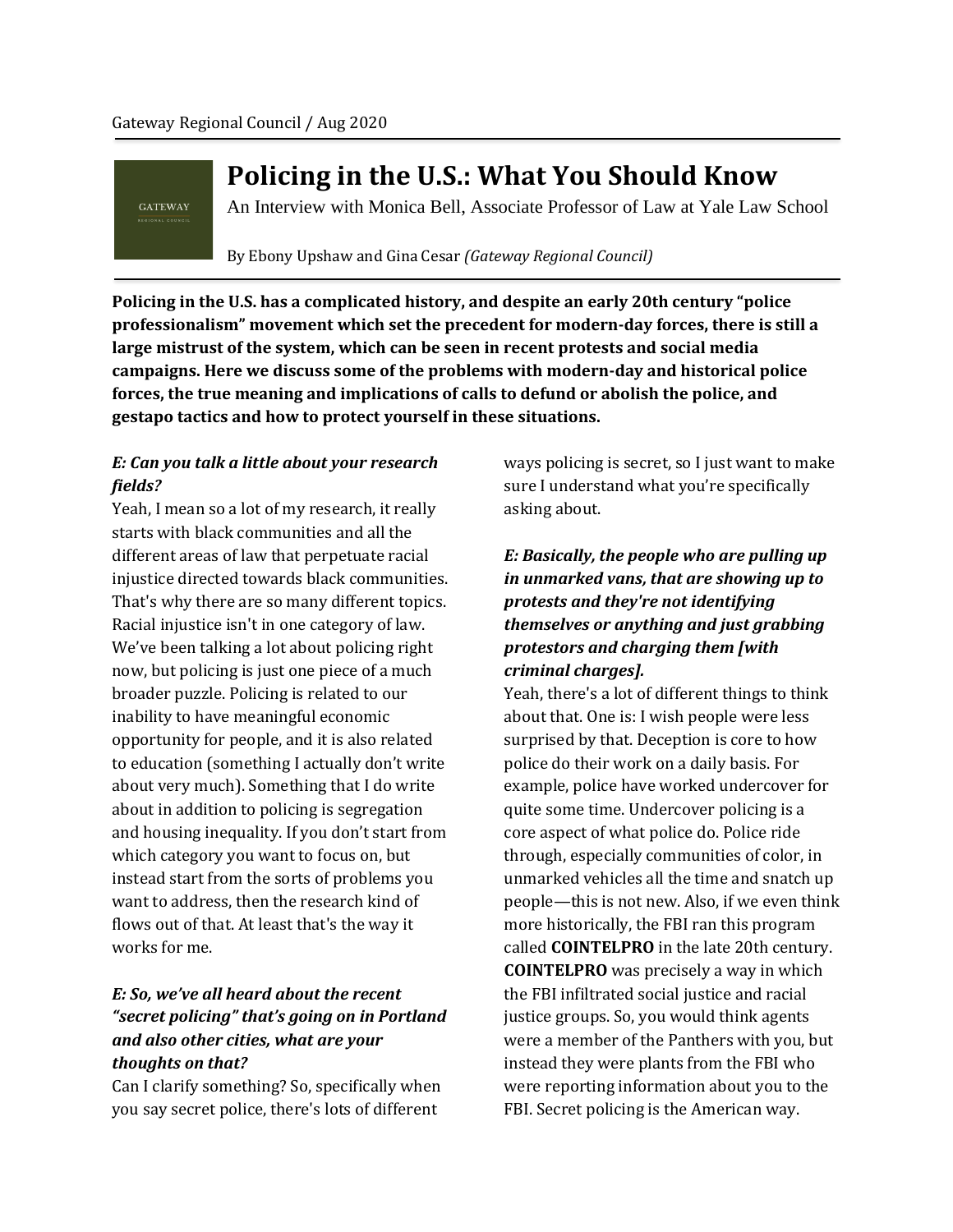**GATEWAY** 

# **Policing in the U.S.: What You Should Know**

An Interview with Monica Bell, Associate Professor of Law at Yale Law School

By Ebony Upshaw and Gina Cesar *(Gateway Regional Council)*

**Policing in the U.S. has a complicated history, and despite an early 20th century "police professionalism" movement which set the precedent for modern-day forces, there is still a large mistrust of the system, which can be seen in recent protests and social media campaigns. Here we discuss some of the problems with modern-day and historical police forces, the true meaning and implications of calls to defund or abolish the police, and gestapo tactics and how to protect yourself in these situations.**

## *E: Can you talk a little about your research fields?*

Yeah, I mean so a lot of my research, it really starts with black communities and all the different areas of law that perpetuate racial injustice directed towards black communities. That's why there are so many different topics. Racial injustice isn't in one category of law. We've been talking a lot about policing right now, but policing is just one piece of a much broader puzzle. Policing is related to our inability to have meaningful economic opportunity for people, and it is also related to education (something I actually don't write about very much). Something that I do write about in addition to policing is segregation and housing inequality. If you don't start from which category you want to focus on, but instead start from the sorts of problems you want to address, then the research kind of flows out of that. At least that's the way it works for me.

# *E: So, we've all heard about the recent "secret policing" that's going on in Portland and also other cities, what are your thoughts on that?*

Can I clarify something? So, specifically when you say secret police, there's lots of different

ways policing is secret, so I just want to make sure I understand what you're specifically asking about.

# *E: Basically, the people who are pulling up in unmarked vans, that are showing up to protests and they're not identifying themselves or anything and just grabbing protestors and charging them [with criminal charges].*

Yeah, there's a lot of different things to think about that. One is: I wish people were less surprised by that. Deception is core to how police do their work on a daily basis. For example, police have worked undercover for quite some time. Undercover policing is a core aspect of what police do. Police ride through, especially communities of color, in unmarked vehicles all the time and snatch up people—this is not new. Also, if we even think more historically, the FBI ran this program called **COINTELPRO** in the late 20th century. **COINTELPRO** was precisely a way in which the FBI infiltrated social justice and racial justice groups. So, you would think agents were a member of the Panthers with you, but instead they were plants from the FBI who were reporting information about you to the FBI. Secret policing is the American way.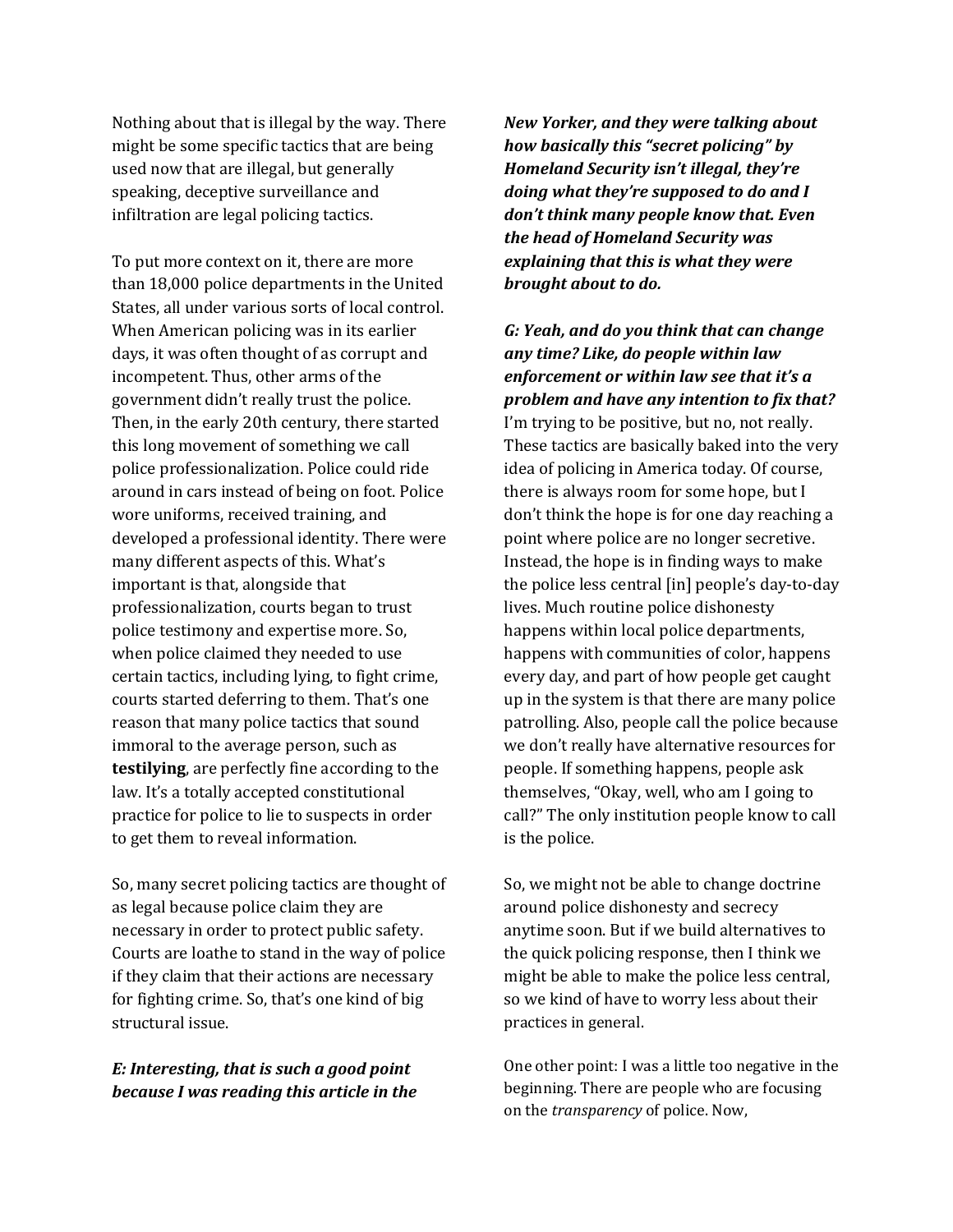Nothing about that is illegal by the way. There might be some specific tactics that are being used now that are illegal, but generally speaking, deceptive surveillance and infiltration are legal policing tactics.

To put more context on it, there are more than 18,000 police departments in the United States, all under various sorts of local control. When American policing was in its earlier days, it was often thought of as corrupt and incompetent. Thus, other arms of the government didn't really trust the police. Then, in the early 20th century, there started this long movement of something we call police professionalization. Police could ride around in cars instead of being on foot. Police wore uniforms, received training, and developed a professional identity. There were many different aspects of this. What's important is that, alongside that professionalization, courts began to trust police testimony and expertise more. So, when police claimed they needed to use certain tactics, including lying, to fight crime, courts started deferring to them. That's one reason that many police tactics that sound immoral to the average person, such as **testilying**, are perfectly fine according to the law. It's a totally accepted constitutional practice for police to lie to suspects in order to get them to reveal information.

So, many secret policing tactics are thought of as legal because police claim they are necessary in order to protect public safety. Courts are loathe to stand in the way of police if they claim that their actions are necessary for fighting crime. So, that's one kind of big structural issue.

## *E: Interesting, that is such a good point because I was reading this article in the*

*New Yorker, and they were talking about how basically this "secret policing" by Homeland Security isn't illegal, they're doing what they're supposed to do and I don't think many people know that. Even the head of Homeland Security was explaining that this is what they were brought about to do.* 

*G: Yeah, and do you think that can change any time? Like, do people within law enforcement or within law see that it's a problem and have any intention to fix that?* I'm trying to be positive, but no, not really. These tactics are basically baked into the very idea of policing in America today. Of course, there is always room for some hope, but I don't think the hope is for one day reaching a point where police are no longer secretive. Instead, the hope is in finding ways to make the police less central [in] people's day-to-day lives. Much routine police dishonesty happens within local police departments, happens with communities of color, happens every day, and part of how people get caught up in the system is that there are many police patrolling. Also, people call the police because we don't really have alternative resources for people. If something happens, people ask themselves, "Okay, well, who am I going to call?" The only institution people know to call is the police.

So, we might not be able to change doctrine around police dishonesty and secrecy anytime soon. But if we build alternatives to the quick policing response, then I think we might be able to make the police less central, so we kind of have to worry less about their practices in general.

One other point: I was a little too negative in the beginning. There are people who are focusing on the *transparency* of police. Now,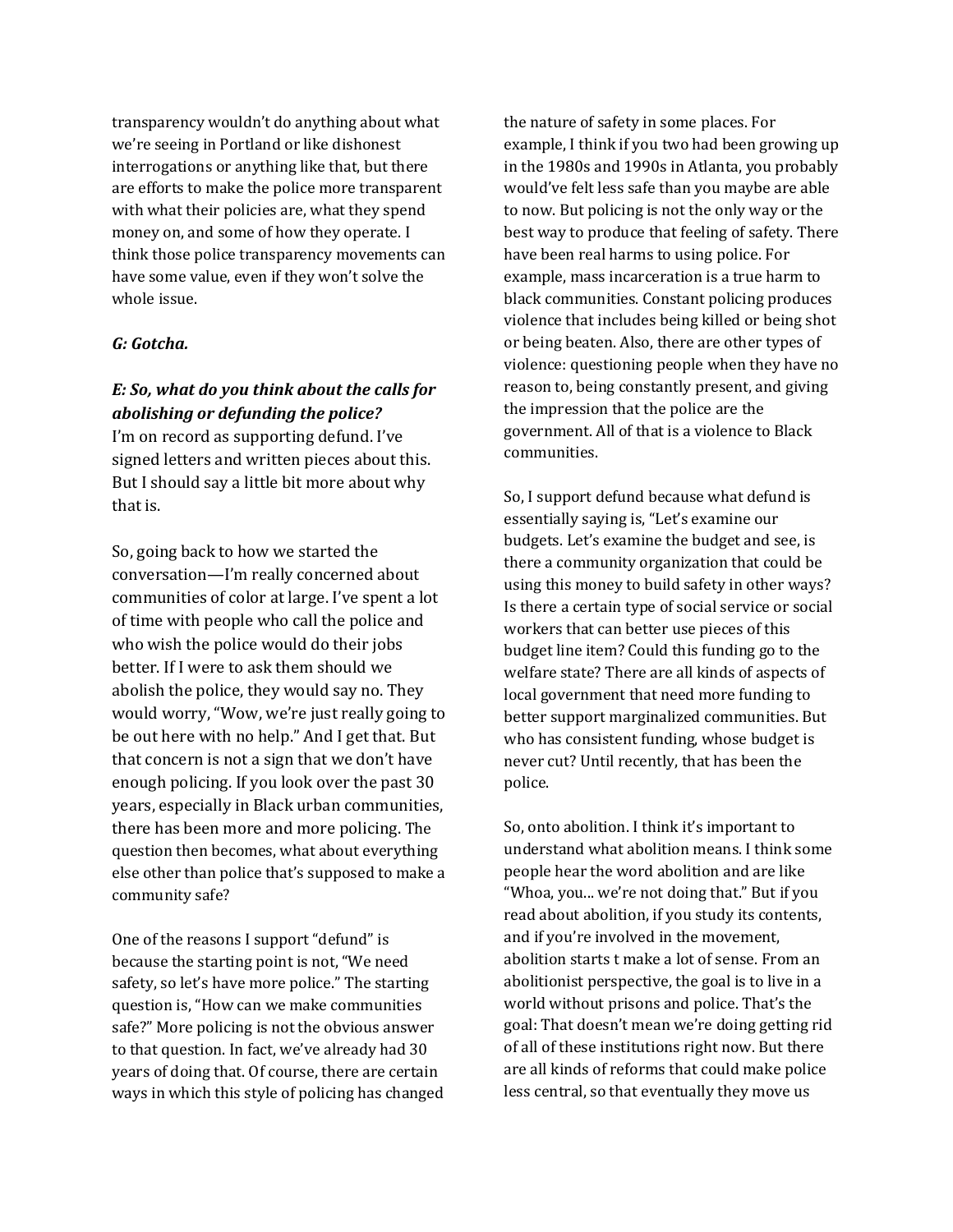transparency wouldn't do anything about what we're seeing in Portland or like dishonest interrogations or anything like that, but there are efforts to make the police more transparent with what their policies are, what they spend money on, and some of how they operate. I think those police transparency movements can have some value, even if they won't solve the whole issue.

#### *G: Gotcha.*

## *E: So, what do you think about the calls for abolishing or defunding the police?*

I'm on record as supporting defund. I've signed letters and written pieces about this. But I should say a little bit more about why that is.

So, going back to how we started the conversation—I'm really concerned about communities of color at large. I've spent a lot of time with people who call the police and who wish the police would do their jobs better. If I were to ask them should we abolish the police, they would say no. They would worry, "Wow, we're just really going to be out here with no help." And I get that. But that concern is not a sign that we don't have enough policing. If you look over the past 30 years, especially in Black urban communities, there has been more and more policing. The question then becomes, what about everything else other than police that's supposed to make a community safe?

One of the reasons I support "defund" is because the starting point is not, "We need safety, so let's have more police." The starting question is, "How can we make communities safe?" More policing is not the obvious answer to that question. In fact, we've already had 30 years of doing that. Of course, there are certain ways in which this style of policing has changed the nature of safety in some places. For example, I think if you two had been growing up in the 1980s and 1990s in Atlanta, you probably would've felt less safe than you maybe are able to now. But policing is not the only way or the best way to produce that feeling of safety. There have been real harms to using police. For example, mass incarceration is a true harm to black communities. Constant policing produces violence that includes being killed or being shot or being beaten. Also, there are other types of violence: questioning people when they have no reason to, being constantly present, and giving the impression that the police are the government. All of that is a violence to Black communities.

So, I support defund because what defund is essentially saying is, "Let's examine our budgets. Let's examine the budget and see, is there a community organization that could be using this money to build safety in other ways? Is there a certain type of social service or social workers that can better use pieces of this budget line item? Could this funding go to the welfare state? There are all kinds of aspects of local government that need more funding to better support marginalized communities. But who has consistent funding, whose budget is never cut? Until recently, that has been the police.

So, onto abolition. I think it's important to understand what abolition means. I think some people hear the word abolition and are like "Whoa, you... we're not doing that." But if you read about abolition, if you study its contents, and if you're involved in the movement, abolition starts t make a lot of sense. From an abolitionist perspective, the goal is to live in a world without prisons and police. That's the goal: That doesn't mean we're doing getting rid of all of these institutions right now. But there are all kinds of reforms that could make police less central, so that eventually they move us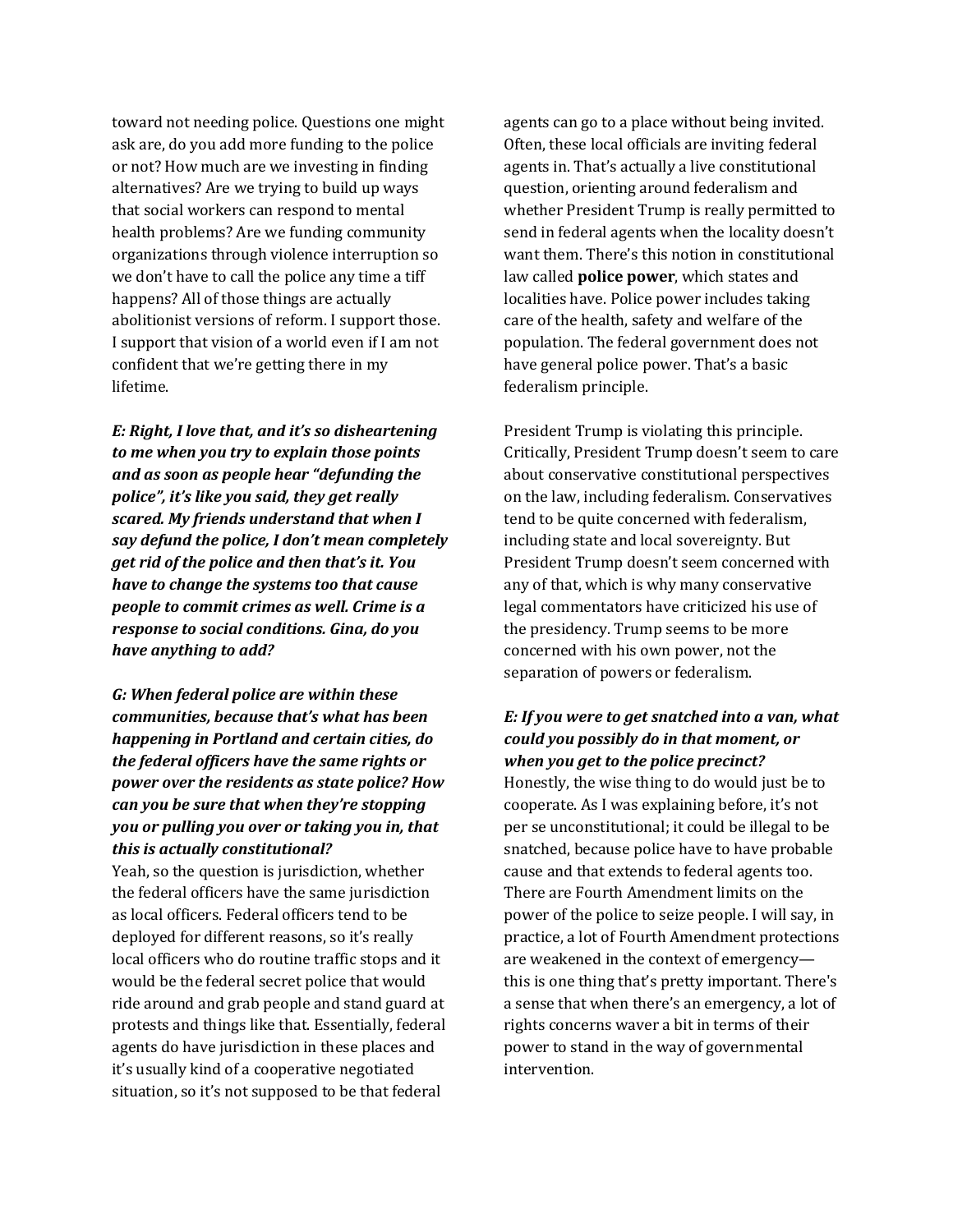toward not needing police. Questions one might ask are, do you add more funding to the police or not? How much are we investing in finding alternatives? Are we trying to build up ways that social workers can respond to mental health problems? Are we funding community organizations through violence interruption so we don't have to call the police any time a tiff happens? All of those things are actually abolitionist versions of reform. I support those. I support that vision of a world even if I am not confident that we're getting there in my lifetime.

*E: Right, I love that, and it's so disheartening to me when you try to explain those points and as soon as people hear "defunding the police", it's like you said, they get really scared. My friends understand that when I say defund the police, I don't mean completely get rid of the police and then that's it. You have to change the systems too that cause people to commit crimes as well. Crime is a response to social conditions. Gina, do you have anything to add?* 

## *G: When federal police are within these communities, because that's what has been happening in Portland and certain cities, do the federal officers have the same rights or power over the residents as state police? How can you be sure that when they're stopping you or pulling you over or taking you in, that this is actually constitutional?*

Yeah, so the question is jurisdiction, whether the federal officers have the same jurisdiction as local officers. Federal officers tend to be deployed for different reasons, so it's really local officers who do routine traffic stops and it would be the federal secret police that would ride around and grab people and stand guard at protests and things like that. Essentially, federal agents do have jurisdiction in these places and it's usually kind of a cooperative negotiated situation, so it's not supposed to be that federal

agents can go to a place without being invited. Often, these local officials are inviting federal agents in. That's actually a live constitutional question, orienting around federalism and whether President Trump is really permitted to send in federal agents when the locality doesn't want them. There's this notion in constitutional law called **police power**, which states and localities have. Police power includes taking care of the health, safety and welfare of the population. The federal government does not have general police power. That's a basic federalism principle.

President Trump is violating this principle. Critically, President Trump doesn't seem to care about conservative constitutional perspectives on the law, including federalism. Conservatives tend to be quite concerned with federalism, including state and local sovereignty. But President Trump doesn't seem concerned with any of that, which is why many conservative legal commentators have criticized his use of the presidency. Trump seems to be more concerned with his own power, not the separation of powers or federalism.

### *E: If you were to get snatched into a van, what could you possibly do in that moment, or when you get to the police precinct?*

Honestly, the wise thing to do would just be to cooperate. As I was explaining before, it's not per se unconstitutional; it could be illegal to be snatched, because police have to have probable cause and that extends to federal agents too. There are Fourth Amendment limits on the power of the police to seize people. I will say, in practice, a lot of Fourth Amendment protections are weakened in the context of emergency this is one thing that's pretty important. There's a sense that when there's an emergency, a lot of rights concerns waver a bit in terms of their power to stand in the way of governmental intervention.